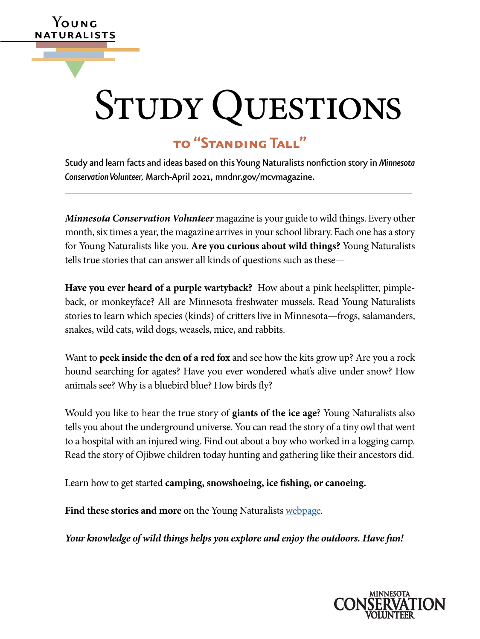# STUDY QUESTIONS

# **to "Standing Tall"**

**Y**oung naturalists

▼

Study and learn facts and ideas based on this Young Naturalists nonfiction story in *Minnesota Conservation Volunteer,* March-April 2021, [mndnr.gov/mcvmagazine](http://www.mndnr.gov/mcvmagazine).

*Minnesota Conservation Volunteer* magazine is your guide to wild things. Every other month, six times a year, the magazine arrives in your school library. Each one has a story for Young Naturalists like you. **Are you curious about wild things?** Young Naturalists tells true stories that can answer all kinds of questions such as these—

**Have you ever heard of a purple wartyback?** How about a pink heelsplitter, pimpleback, or monkeyface? All are Minnesota freshwater mussels. Read Young Naturalists stories to learn which species (kinds) of critters live in Minnesota—frogs, salamanders, snakes, wild cats, wild dogs, weasels, mice, and rabbits.

Want to **peek inside the den of a red fox** and see how the kits grow up? Are you a rock hound searching for agates? Have you ever wondered what's alive under snow? How animals see? Why is a bluebird blue? How birds fly?

Would you like to hear the true story of **giants of the ice age**? Young Naturalists also tells you about the underground universe. You can read the story of a tiny owl that went to a hospital with an injured wing. Find out about a boy who worked in a logging camp. Read the story of Ojibwe children today hunting and gathering like their ancestors did.

Learn how to get started **camping, snowshoeing, ice fishing, or canoeing.**

Find these stories and more on the Young Naturalists [webpage.](http://www.mndnr.gov/young_naturalists)

*Your knowledge of wild things helps you explore and enjoy the outdoors. Have fun!*

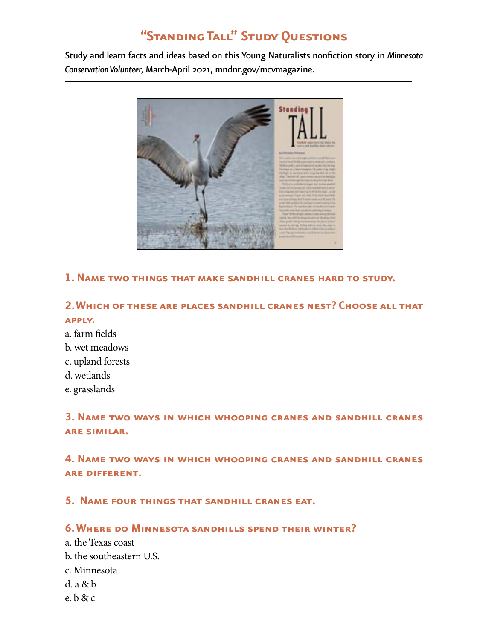# **"Standing Tall" Study Questions**

Study and learn facts and ideas based on this Young Naturalists nonfiction story in *Minnesota Conservation Volunteer,* March-April 2021, [mndnr.gov/mcvmagazine](http://www.mndnr.gov/mcvmagazine).



#### **1. Name two things that make sandhill cranes hard to study.**

# **2. Which of these are places sandhill cranes nest? Choose all that apply.**

- a. farm fields
- b. wet meadows
- c. upland forests
- d. wetlands
- e. grasslands

## **3. Name two ways in which whooping cranes and sandhill cranes are similar.**

# **4. Name two ways in which whooping cranes and sandhill cranes are different.**

#### **5. Name four things that sandhill cranes eat.**

#### **6. Where do Minnesota sandhills spend their winter?**

- a. the Texas coast
- b. the southeastern U.S.
- c. Minnesota
- d. a & b
- e. b & c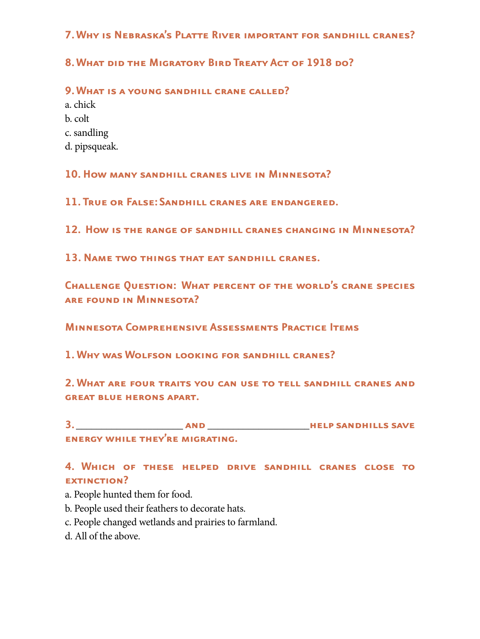## **7. Why is Nebraska's Platte River important for sandhill cranes?**

# **8. What did the Migratory Bird Treaty Act of 1918 do?**

#### **9. What is a young sandhill crane called?**

a. chick b. colt

c. sandling

d. pipsqueak.

**10. How many sandhill cranes live in Minnesota?**

**11. True or False: Sandhill cranes are endangered.**

**12. How is the range of sandhill cranes changing in Minnesota?**

**13. Name two things that eat sandhill cranes.**

**Challenge Question: What percent of the world's crane species are found in Minnesota?**

**Minnesota Comprehensive Assessments Practice Items** 

**1. Why was Wolfson looking for sandhill cranes?**

**2. What are four traits you can use to tell sandhill cranes and great blue herons apart.**

**3.** \_\_\_\_\_\_\_\_\_\_\_\_\_\_\_\_\_\_\_\_\_ **and** \_\_\_\_\_\_\_\_\_\_\_\_\_\_\_\_\_\_\_\_**help sandhills save energy while they're migrating.** 

# **4. Which of these helped drive sandhill cranes close to EXTINCTION?**

a. People hunted them for food.

- b. People used their feathers to decorate hats.
- c. People changed wetlands and prairies to farmland.
- d. All of the above.